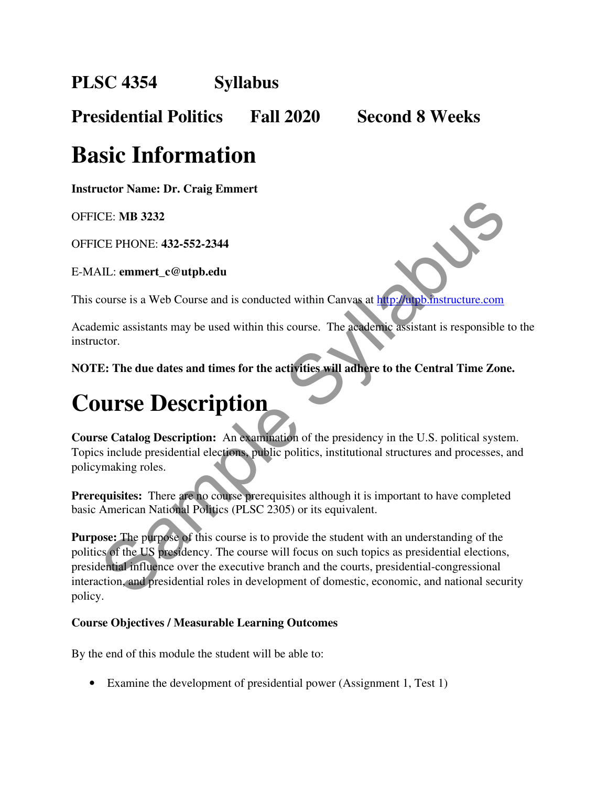**PLSC 4354 Syllabus** 

**Presidential Politics Fall 2020 Second 8 Weeks** 

### **Basic Information**

**Instructor Name: Dr. Craig Emmert**

OFFICE: **MB 3232**

OFFICE PHONE: **432-552-2344** 

E-MAIL: **emmert\_c@utpb.edu**

This course is a Web Course and is conducted within Canvas at http://utpb.instructure.com

Academic assistants may be used within this course. The academic assistant is responsible to the instructor.

**NOTE: The due dates and times for the activities will adhere to the Central Time Zone.**

### **Course Description**

**Course Catalog Description:** An examination of the presidency in the U.S. political system. Topics include presidential elections, public politics, institutional structures and processes, and policymaking roles.

**Prerequisites:** There are no course prerequisites although it is important to have completed basic American National Politics (PLSC 2305) or its equivalent.

**Purpose:** The purpose of this course is to provide the student with an understanding of the politics of the US presidency. The course will focus on such topics as presidential elections, presidential influence over the executive branch and the courts, presidential-congressional interaction, and presidential roles in development of domestic, economic, and national security policy. CE PHONE: 432-552-2344<br>
CE PHONE: 432-552-2344<br>
CE PHONE: 432-552-2344<br>
CE CHONE: 432-552-2344<br>
COULTS COULTS and is conducted within this course. The academic assistant is responsible<br>
termine assistants may be used withi

#### **Course Objectives / Measurable Learning Outcomes**

By the end of this module the student will be able to:

• Examine the development of presidential power (Assignment 1, Test 1)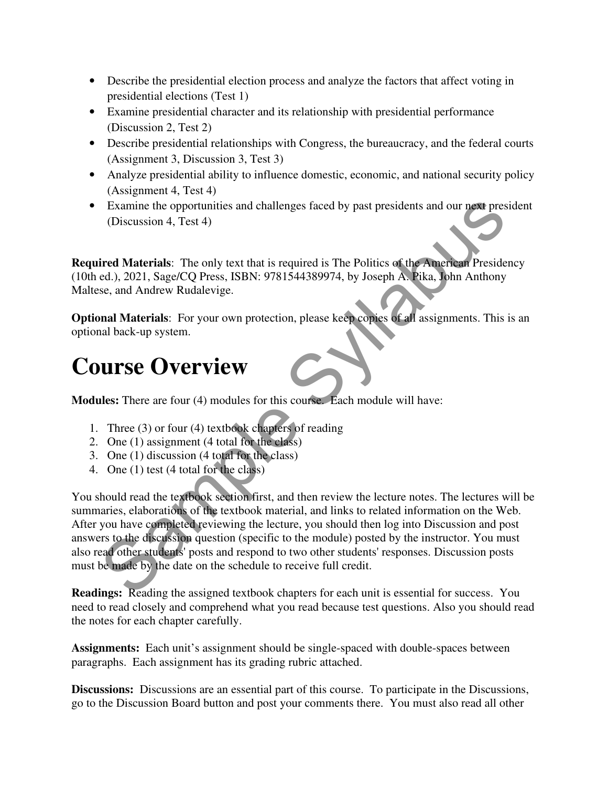- Describe the presidential election process and analyze the factors that affect voting in presidential elections (Test 1)
- Examine presidential character and its relationship with presidential performance (Discussion 2, Test 2)
- Describe presidential relationships with Congress, the bureaucracy, and the federal courts (Assignment 3, Discussion 3, Test 3)
- Analyze presidential ability to influence domestic, economic, and national security policy (Assignment 4, Test 4)
- Examine the opportunities and challenges faced by past presidents and our next president (Discussion 4, Test 4)

**Required Materials**: The only text that is required is The Politics of the American Presidency (10th ed.), 2021, Sage/CQ Press, ISBN: 9781544389974, by Joseph A. Pika, John Anthony Maltese, and Andrew Rudalevige.

**Optional Materials**: For your own protection, please keep copies of all assignments. This is an optional back-up system.

### **Course Overview**

**Modules:** There are four (4) modules for this course. Each module will have:

- 1. Three (3) or four (4) textbook chapters of reading
- 2. One (1) assignment (4 total for the class)
- 3. One (1) discussion (4 total for the class)
- 4. One (1) test (4 total for the class)

You should read the textbook section first, and then review the lecture notes. The lectures will be summaries, elaborations of the textbook material, and links to related information on the Web. After you have completed reviewing the lecture, you should then log into Discussion and post answers to the discussion question (specific to the module) posted by the instructor. You must also read other students' posts and respond to two other students' responses. Discussion posts must be made by the date on the schedule to receive full credit. Examine the opportunities and challenges faced by past presidents and our next presidents.<br>
(Discussion 4, Test 4)<br>
ired Materials: The only text that is required is The Politics of the American Preside<br>
ed.), 2021, Sage/

**Readings:** Reading the assigned textbook chapters for each unit is essential for success. You need to read closely and comprehend what you read because test questions. Also you should read the notes for each chapter carefully.

**Assignments:** Each unit's assignment should be single-spaced with double-spaces between paragraphs. Each assignment has its grading rubric attached.

**Discussions:** Discussions are an essential part of this course. To participate in the Discussions, go to the Discussion Board button and post your comments there. You must also read all other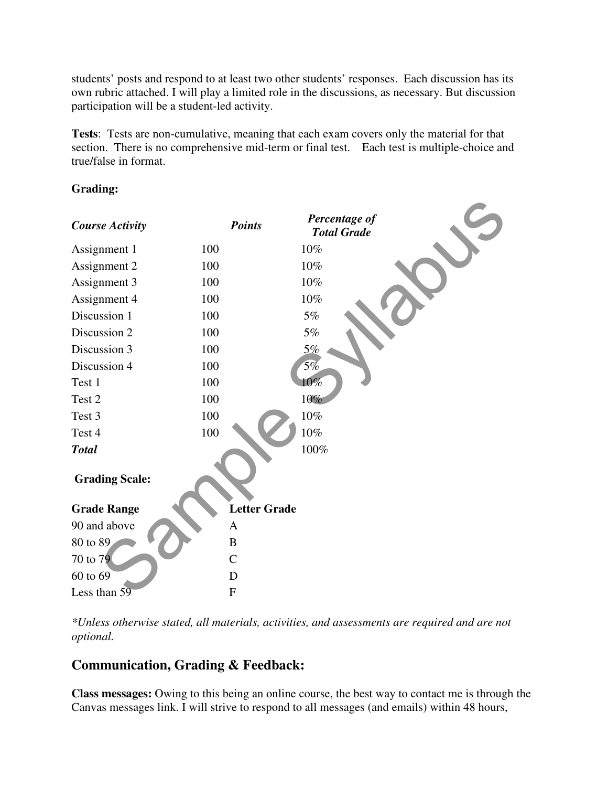students' posts and respond to at least two other students' responses. Each discussion has its own rubric attached. I will play a limited role in the discussions, as necessary. But discussion participation will be a student-led activity.

**Tests**: Tests are non-cumulative, meaning that each exam covers only the material for that section. There is no comprehensive mid-term or final test. Each test is multiple-choice and true/false in format.

#### **Grading:**



*\*Unless otherwise stated, all materials, activities, and assessments are required and are not optional.*

#### **Communication, Grading & Feedback:**

**Class messages:** Owing to this being an online course, the best way to contact me is through the Canvas messages link. I will strive to respond to all messages (and emails) within 48 hours,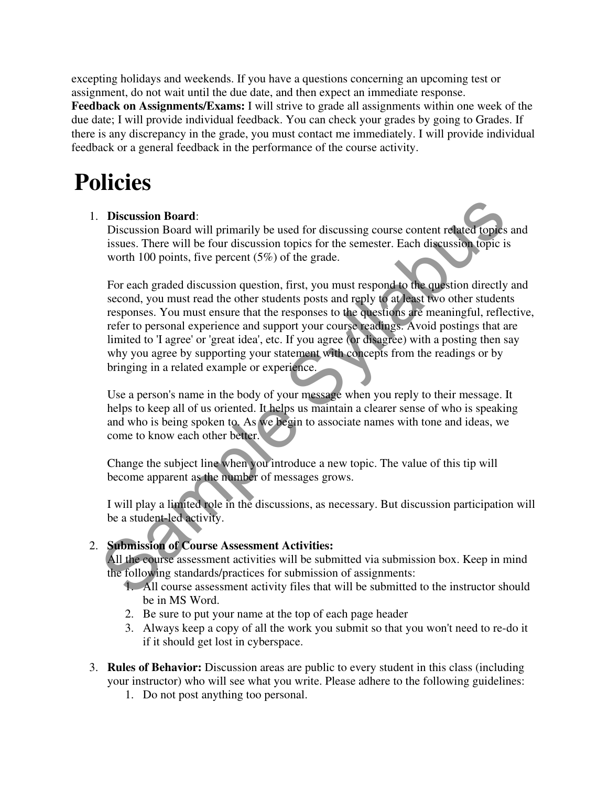excepting holidays and weekends. If you have a questions concerning an upcoming test or assignment, do not wait until the due date, and then expect an immediate response.

**Feedback on Assignments/Exams:** I will strive to grade all assignments within one week of the due date; I will provide individual feedback. You can check your grades by going to Grades. If there is any discrepancy in the grade, you must contact me immediately. I will provide individual feedback or a general feedback in the performance of the course activity.

### **Policies**

#### 1. **Discussion Board**:

Discussion Board will primarily be used for discussing course content related topics and issues. There will be four discussion topics for the semester. Each discussion topic is worth 100 points, five percent (5%) of the grade.

For each graded discussion question, first, you must respond to the question directly and second, you must read the other students posts and reply to at least two other students responses. You must ensure that the responses to the questions are meaningful, reflective, refer to personal experience and support your course readings. Avoid postings that are limited to 'I agree' or 'great idea', etc. If you agree (or disagree) with a posting then say why you agree by supporting your statement with concepts from the readings or by bringing in a related example or experience. **Discussion Board:**<br>
Discussion Board vill primarily be used for discussing course content related for its<br>
issues. There will be four discussion topics for the semester. Each discussion topic is<br>
worth 100 points, five p

Use a person's name in the body of your message when you reply to their message. It helps to keep all of us oriented. It helps us maintain a clearer sense of who is speaking and who is being spoken to. As we begin to associate names with tone and ideas, we come to know each other better.

Change the subject line when you introduce a new topic. The value of this tip will become apparent as the number of messages grows.

I will play a limited role in the discussions, as necessary. But discussion participation will be a student-led activity.

#### 2. **Submission of Course Assessment Activities:**

All the course assessment activities will be submitted via submission box. Keep in mind the following standards/practices for submission of assignments:

- 1. All course assessment activity files that will be submitted to the instructor should be in MS Word.
- 2. Be sure to put your name at the top of each page header
- 3. Always keep a copy of all the work you submit so that you won't need to re-do it if it should get lost in cyberspace.
- 3. **Rules of Behavior:** Discussion areas are public to every student in this class (including your instructor) who will see what you write. Please adhere to the following guidelines:
	- 1. Do not post anything too personal.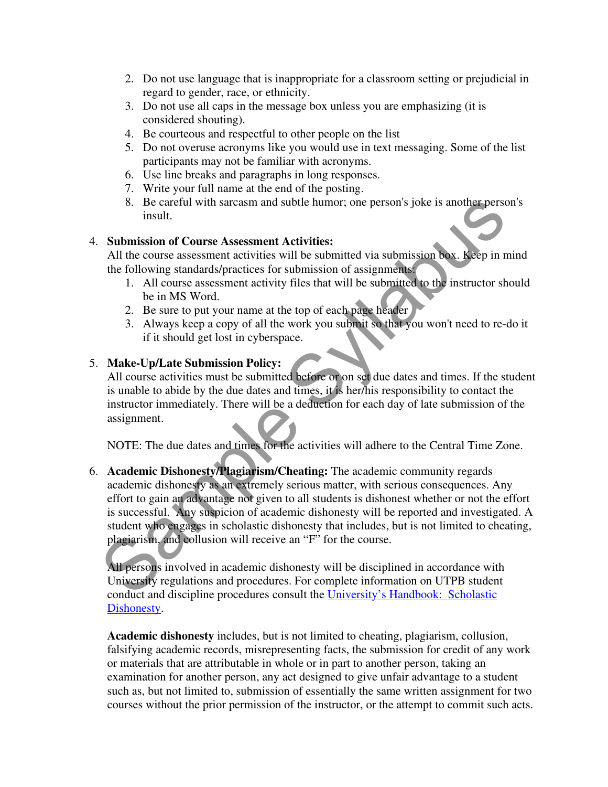- 2. Do not use language that is inappropriate for a classroom setting or prejudicial in regard to gender, race, or ethnicity.
- 3. Do not use all caps in the message box unless you are emphasizing (it is considered shouting).
- 4. Be courteous and respectful to other people on the list
- 5. Do not overuse acronyms like you would use in text messaging. Some of the list participants may not be familiar with acronyms.
- 6. Use line breaks and paragraphs in long responses.
- 7. Write your full name at the end of the posting.
- 8. Be careful with sarcasm and subtle humor; one person's joke is another person's insult.

#### 4. **Submission of Course Assessment Activities:**

All the course assessment activities will be submitted via submission box. Keep in mind the following standards/practices for submission of assignments:

- 1. All course assessment activity files that will be submitted to the instructor should be in MS Word.
- 2. Be sure to put your name at the top of each page header
- 3. Always keep a copy of all the work you submit so that you won't need to re-do it if it should get lost in cyberspace.

#### 5. **Make-Up/Late Submission Policy:**

All course activities must be submitted before or on set due dates and times. If the student is unable to abide by the due dates and times, it is her/his responsibility to contact the instructor immediately. There will be a deduction for each day of late submission of the assignment.

NOTE: The due dates and times for the activities will adhere to the Central Time Zone.

6. **Academic Dishonesty/Plagiarism/Cheating:** The academic community regards academic dishonesty as an extremely serious matter, with serious consequences. Any effort to gain an advantage not given to all students is dishonest whether or not the effort is successful. Any suspicion of academic dishonesty will be reported and investigated. A student who engages in scholastic dishonesty that includes, but is not limited to cheating, plagiarism, and collusion will receive an "F" for the course. 8. Be careful with sareasm and subtle humor; one person's joke is another person<br>
insult.<br>
Submission of Course Assessment Activities:<br>
All the course assessment activities will be submitted via submission box. Keep in n<br>

All persons involved in academic dishonesty will be disciplined in accordance with University regulations and procedures. For complete information on UTPB student conduct and discipline procedures consult the University's Handbook: Scholastic Dishonesty.

**Academic dishonesty** includes, but is not limited to cheating, plagiarism, collusion, falsifying academic records, misrepresenting facts, the submission for credit of any work or materials that are attributable in whole or in part to another person, taking an examination for another person, any act designed to give unfair advantage to a student such as, but not limited to, submission of essentially the same written assignment for two courses without the prior permission of the instructor, or the attempt to commit such acts.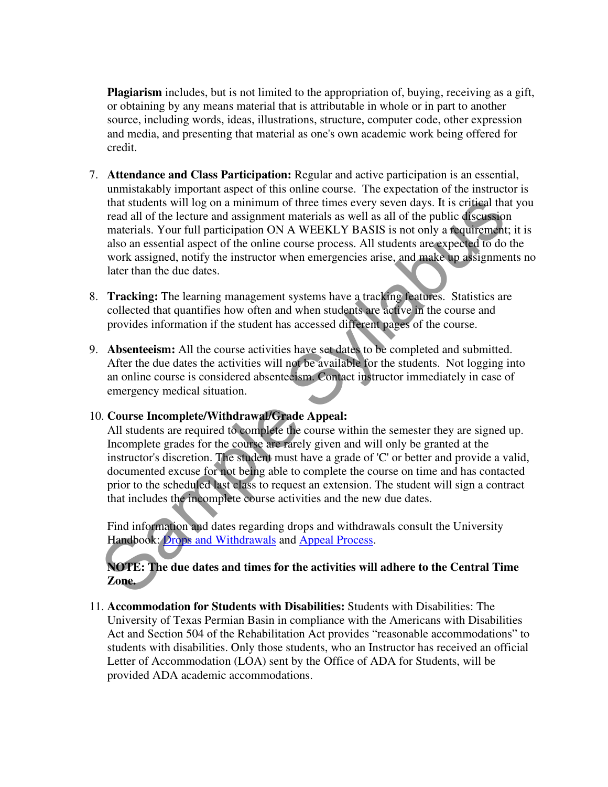**Plagiarism** includes, but is not limited to the appropriation of, buying, receiving as a gift, or obtaining by any means material that is attributable in whole or in part to another source, including words, ideas, illustrations, structure, computer code, other expression and media, and presenting that material as one's own academic work being offered for credit.

- 7. **Attendance and Class Participation:** Regular and active participation is an essential, unmistakably important aspect of this online course. The expectation of the instructor is that students will log on a minimum of three times every seven days. It is critical that you read all of the lecture and assignment materials as well as all of the public discussion materials. Your full participation ON A WEEKLY BASIS is not only a requirement; it is also an essential aspect of the online course process. All students are expected to do the work assigned, notify the instructor when emergencies arise, and make up assignments no later than the due dates. that students will log on a minimum of three times every seven days. It is critical the read all of the lecture and assignment materials as well as all of the poblic discussion materials and the political materials. Your
- 8. **Tracking:** The learning management systems have a tracking features. Statistics are collected that quantifies how often and when students are active in the course and provides information if the student has accessed different pages of the course.
- 9. **Absenteeism:** All the course activities have set dates to be completed and submitted. After the due dates the activities will not be available for the students. Not logging into an online course is considered absenteeism. Contact instructor immediately in case of emergency medical situation.

#### 10. **Course Incomplete/Withdrawal/Grade Appeal:**

All students are required to complete the course within the semester they are signed up. Incomplete grades for the course are rarely given and will only be granted at the instructor's discretion. The student must have a grade of 'C' or better and provide a valid, documented excuse for not being able to complete the course on time and has contacted prior to the scheduled last class to request an extension. The student will sign a contract that includes the incomplete course activities and the new due dates.

Find information and dates regarding drops and withdrawals consult the University Handbook: Drops and Withdrawals and Appeal Process.

#### **NOTE: The due dates and times for the activities will adhere to the Central Time Zone.**

11. **Accommodation for Students with Disabilities:** Students with Disabilities: The University of Texas Permian Basin in compliance with the Americans with Disabilities Act and Section 504 of the Rehabilitation Act provides "reasonable accommodations" to students with disabilities. Only those students, who an Instructor has received an official Letter of Accommodation (LOA) sent by the Office of ADA for Students, will be provided ADA academic accommodations.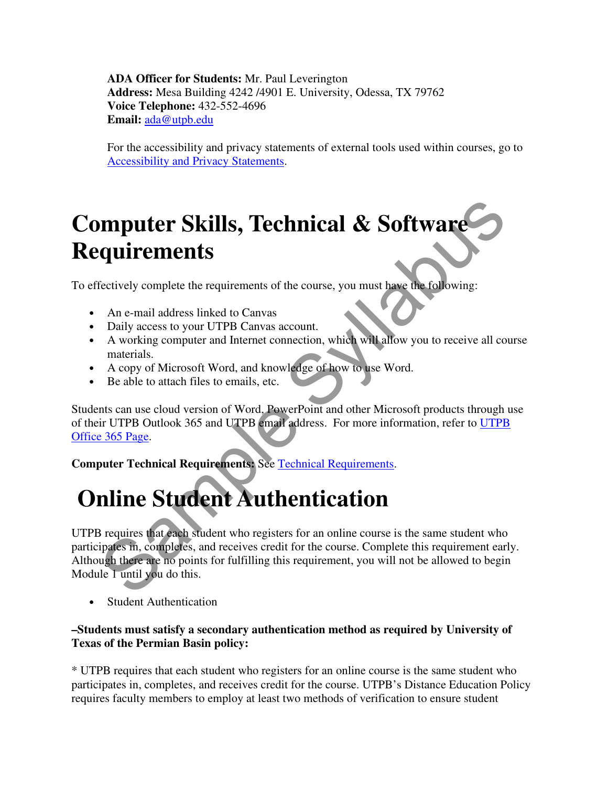**ADA Officer for Students:** Mr. Paul Leverington **Address:** Mesa Building 4242 /4901 E. University, Odessa, TX 79762 **Voice Telephone:** 432-552-4696 **Email:** ada@utpb.edu

For the accessibility and privacy statements of external tools used within courses, go to Accessibility and Privacy Statements.

# **Computer Skills, Technical & Software Requirements**

To effectively complete the requirements of the course, you must have the following:

- An e-mail address linked to Canvas
- Daily access to your UTPB Canvas account.
- A working computer and Internet connection, which will allow you to receive all course materials.
- A copy of Microsoft Word, and knowledge of how to use Word.
- Be able to attach files to emails, etc.

Students can use cloud version of Word, PowerPoint and other Microsoft products through use of their UTPB Outlook 365 and UTPB email address. For more information, refer to UTPB Office 365 Page.

**Computer Technical Requirements:** See Technical Requirements.

# **Online Student Authentication**

UTPB requires that each student who registers for an online course is the same student who participates in, completes, and receives credit for the course. Complete this requirement early. Although there are no points for fulfilling this requirement, you will not be allowed to begin Module 1 until you do this. **Software**<br> **Security complete the requirements of the course, you must have the following:**<br>
An e-mail address linked to Canvas<br>
Daily access to your UTPB Canvas account.<br>
A working computer and Internet connection, which

**Student Authentication** 

#### **–Students must satisfy a secondary authentication method as required by University of Texas of the Permian Basin policy:**

\* UTPB requires that each student who registers for an online course is the same student who participates in, completes, and receives credit for the course. UTPB's Distance Education Policy requires faculty members to employ at least two methods of verification to ensure student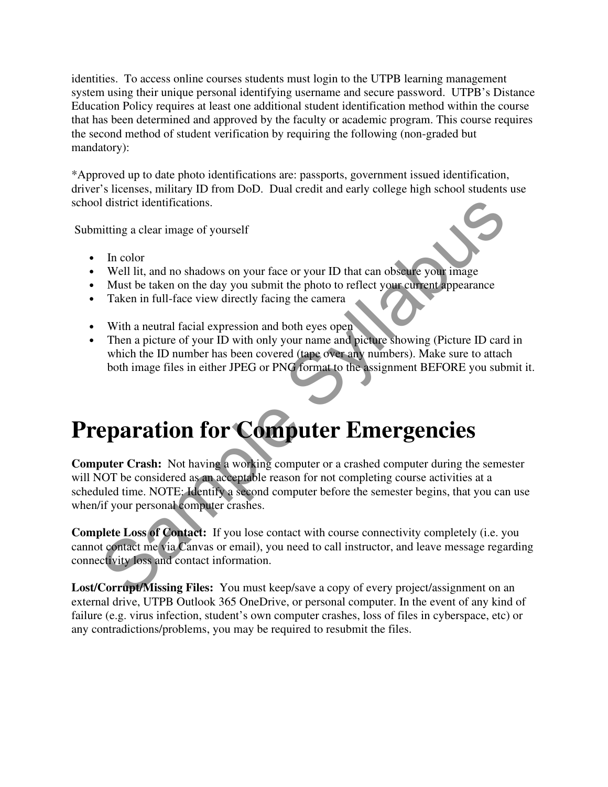identities. To access online courses students must login to the UTPB learning management system using their unique personal identifying username and secure password. UTPB's Distance Education Policy requires at least one additional student identification method within the course that has been determined and approved by the faculty or academic program. This course requires the second method of student verification by requiring the following (non-graded but mandatory):

\*Approved up to date photo identifications are: passports, government issued identification, driver's licenses, military ID from DoD. Dual credit and early college high school students use school district identifications.

Submitting a clear image of yourself

- In color
- Well lit, and no shadows on your face or your ID that can obscure your image
- Must be taken on the day you submit the photo to reflect your current appearance
- Taken in full-face view directly facing the camera
- With a neutral facial expression and both eyes open
- Then a picture of your ID with only your name and picture showing (Picture ID card in which the ID number has been covered (tape over any numbers). Make sure to attach both image files in either JPEG or PNG format to the assignment BEFORE you submit it.

# **Preparation for Computer Emergencies**

**Computer Crash:** Not having a working computer or a crashed computer during the semester will NOT be considered as an acceptable reason for not completing course activities at a scheduled time. NOTE: Identify a second computer before the semester begins, that you can use when/if your personal computer crashes. d district identifications.<br>
In color<br>
In color<br>
Well lit, and no shadows on your face or your ID that can obselve your image<br>
Must be taken on the day you submit the photo to reflect your editeral appearance<br>
Taken in ful

**Complete Loss of Contact:** If you lose contact with course connectivity completely (i.e. you cannot contact me via Canvas or email), you need to call instructor, and leave message regarding connectivity loss and contact information.

**Lost/Corrupt/Missing Files:** You must keep/save a copy of every project/assignment on an external drive, UTPB Outlook 365 OneDrive, or personal computer. In the event of any kind of failure (e.g. virus infection, student's own computer crashes, loss of files in cyberspace, etc) or any contradictions/problems, you may be required to resubmit the files.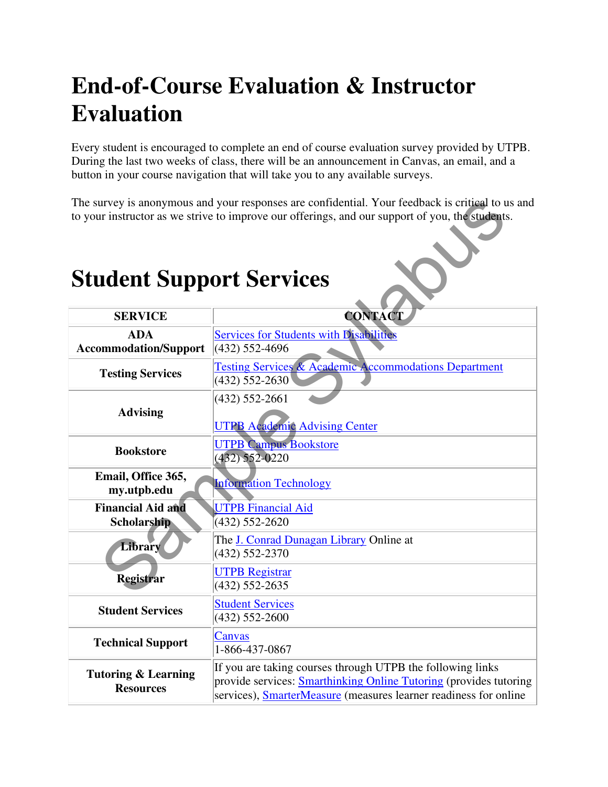# **End-of-Course Evaluation & Instructor Evaluation**

Every student is encouraged to complete an end of course evaluation survey provided by UTPB. During the last two weeks of class, there will be an announcement in Canvas, an email, and a button in your course navigation that will take you to any available surveys.

The survey is anonymous and your responses are confidential. Your feedback is critical to us and to your instructor as we strive to improve our offerings, and our support of you, the students.

#### **Student Support Services**  SERVICE REAL CONTACT **ADA Accommodation/Support** Services for Students with Disabilities (432) 552-4696 **Testing Services** Testing Services & Academic Accommodations Department (432) 552-2630 **Advising**  (432) 552-2661 UTPB Academic Advising Center **Bookstore UTPB Campus Bookstore** (432) 552-0220 **Email, Office 365,**  my.utpb.edu **Information Technology Financial Aid and Scholarship**  UTPB Financial Aid (432) 552-2620 **Library** The <u>J. Conrad Dunagan Library</u> Online at (432) 552-2370 **Registrar** UTPB Registrar (432) 552-2635 **Student Services Student Services** (432) 552-2600 **Technical Support Canvas** 1-866-437-0867 **Tutoring & Learning Resources**  If you are taking courses through UTPB the following links provide services: Smarthinking Online Tutoring (provides tutoring services), SmarterMeasure (measures learner readiness for online urvey is anonymous and your responses are confidential. Your feedback is critical to the instructor as we strive to improve our offerings, and our support of you, the students<br>
SERVICE SERVICES<br>
SERVICE ADA Services for St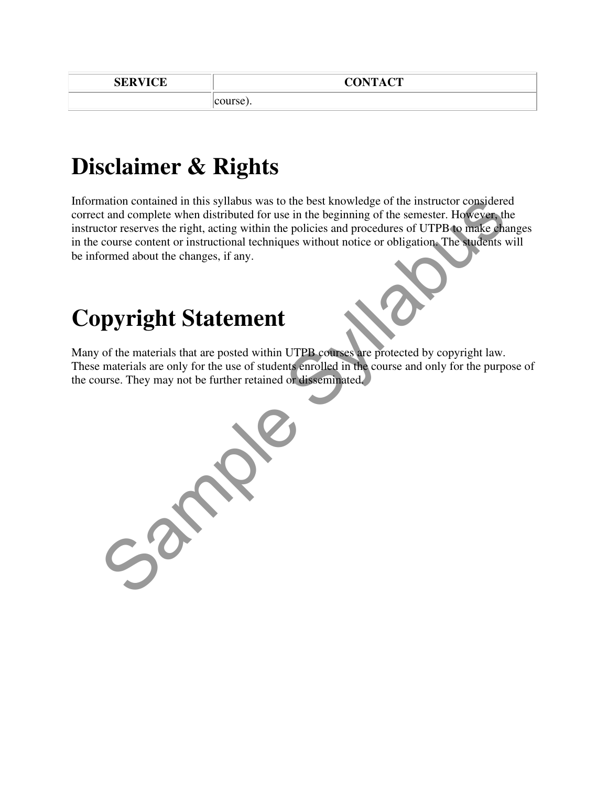course).

### **Disclaimer & Rights**

Information contained in this syllabus was to the best knowledge of the instructor considered correct and complete when distributed for use in the beginning of the semester. However, the instructor reserves the right, acting within the policies and procedures of UTPB to make changes in the course content or instructional techniques without notice or obligation. The students will be informed about the changes, if any.

## **Copyright Statement**

Many of the materials that are posted within UTPB courses are protected by copyright law. These materials are only for the use of students enrolled in the course and only for the purpose of the course. They may not be further retained or disseminated.

mation contained in this syllabus was to the best knowledge of the instructor considered than domplete when distributed for use in the beginning of the semester. However, the correct externes the right, acting within the p